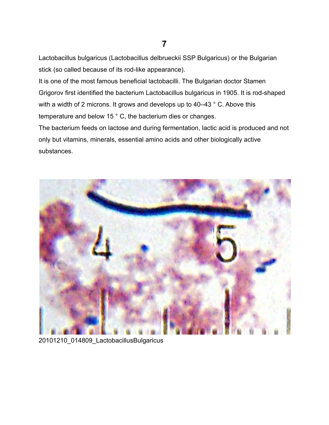## Lactobacillus bulgaricus (Lactobacillus delbrueckii SSP Bulgaricus) or the Bulgarian stick (so called because of its rod-like appearance).

It is one of the most famous beneficial lactobacilli. The Bulgarian doctor Stamen Grigorov first identified the bacterium Lactobacillus bulgaricus in 1905. It is rod-shaped with a width of 2 microns. It grows and develops up to 40–43 ° C. Above this temperature and below 15 ° C, the bacterium dies or changes.

The bacterium feeds on lactose and during fermentation, lactic acid is produced and not only but vitamins, minerals, essential amino acids and other biologically active substances.



20101210\_014809\_LactobacillusBulgaricus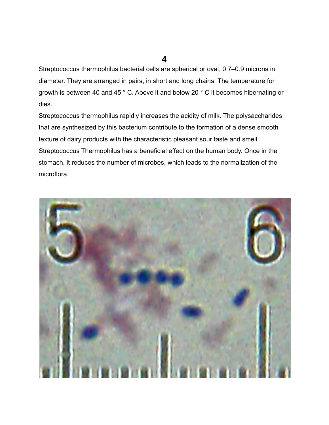**4**

Streptococcus thermophilus bacterial cells are spherical or oval, 0.7–0.9 microns in diameter. They are arranged in pairs, in short and long chains. The temperature for growth is between 40 and 45 ° C. Above it and below 20 ° C it becomes hibernating or dies.

Streptococcus thermophilus rapidly increases the acidity of milk. The polysaccharides that are synthesized by this bacterium contribute to the formation of a dense smooth texture of dairy products with the characteristic pleasant sour taste and smell. Streptococcus Thermophilus has a beneficial effect on the human body. Once in the stomach, it reduces the number of microbes, which leads to the normalization of the microflora.